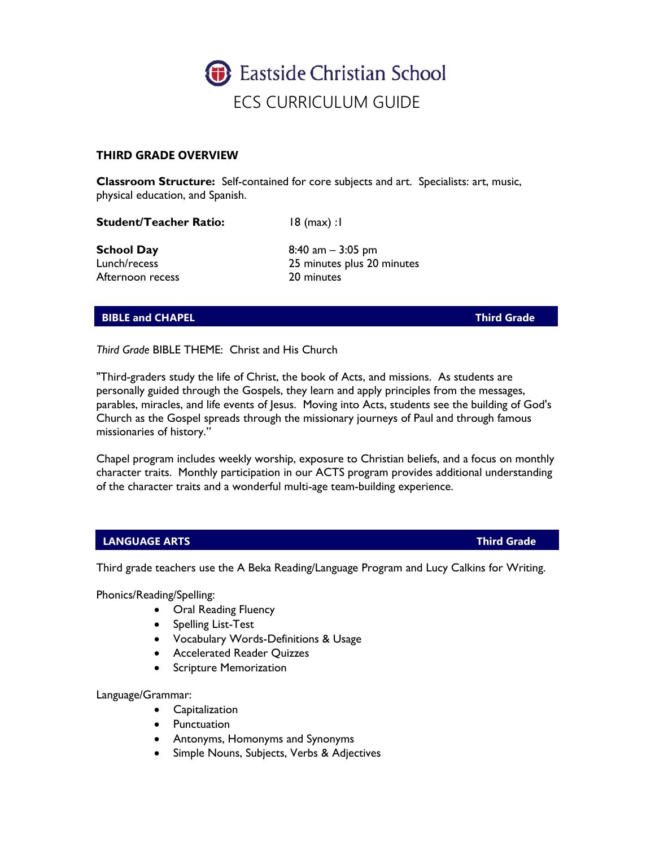

# **THIRD GRADE OVERVIEW**

**Classroom Structure:** Self-contained for core subjects and art. Specialists: art, music, physical education, and Spanish.

**Student/Teacher Ratio:** 18 (max) :1

Afternoon recess 20 minutes

**School Day** 8:40 am – 3:05 pm Lunch/recess 25 minutes plus 20 minutes

# **BIBLE and CHAPEL CHAPEL CHAPEL CHAPEL CHAPEL CHAPEL CHAPEL CHAPEL CHAPEL CHAPEL**

*Third Grade* BIBLE THEME: Christ and His Church

"Third-graders study the life of Christ, the book of Acts, and missions. As students are personally guided through the Gospels, they learn and apply principles from the messages, parables, miracles, and life events of Jesus. Moving into Acts, students see the building of God's Church as the Gospel spreads through the missionary journeys of Paul and through famous missionaries of history."

Chapel program includes weekly worship, exposure to Christian beliefs, and a focus on monthly character traits. Monthly participation in our ACTS program provides additional understanding of the character traits and a wonderful multi-age team-building experience.

# **LANGUAGE ARTS** Third Grade

Third grade teachers use the A Beka Reading/Language Program and Lucy Calkins for Writing.

Phonics/Reading/Spelling:

- Oral Reading Fluency
- Spelling List-Test
- Vocabulary Words-Definitions & Usage
- Accelerated Reader Quizzes
- Scripture Memorization

Language/Grammar:

- Capitalization
- Punctuation
- Antonyms, Homonyms and Synonyms
- Simple Nouns, Subjects, Verbs & Adjectives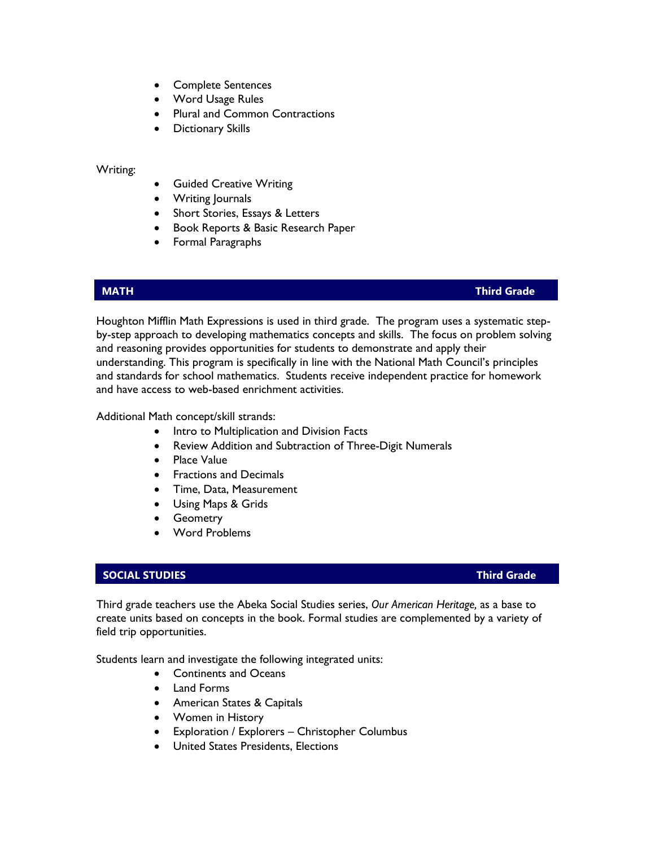- Complete Sentences
- Word Usage Rules
- Plural and Common Contractions
- Dictionary Skills

### Writing:

- Guided Creative Writing
- Writing Journals
- Short Stories, Essays & Letters
- Book Reports & Basic Research Paper
- Formal Paragraphs

### **MATH Third Grade**

Houghton Mifflin Math Expressions is used in third grade. The program uses a systematic stepby-step approach to developing mathematics concepts and skills. The focus on problem solving and reasoning provides opportunities for students to demonstrate and apply their understanding. This program is specifically in line with the National Math Council's principles and standards for school mathematics. Students receive independent practice for homework and have access to web-based enrichment activities.

Additional Math concept/skill strands:

- Intro to Multiplication and Division Facts
- Review Addition and Subtraction of Three-Digit Numerals
- Place Value
- Fractions and Decimals
- Time, Data, Measurement
- Using Maps & Grids
- Geometry
- Word Problems

# **SOCIAL STUDIES Third Grade**

Third grade teachers use the Abeka Social Studies series, *Our American Heritage,* as a base to create units based on concepts in the book. Formal studies are complemented by a variety of field trip opportunities.

Students learn and investigate the following integrated units:

- Continents and Oceans
- Land Forms
- American States & Capitals
- Women in History
- Exploration / Explorers Christopher Columbus
- United States Presidents, Elections